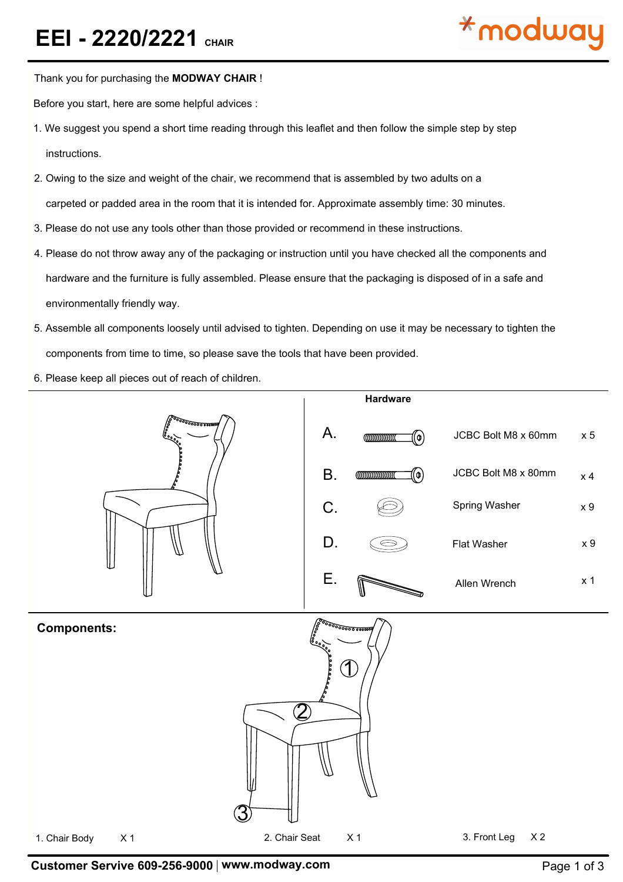

Thank you for purchasing the **MODWAY CHAIR** !

Before you start, here are some helpful advices :

- 1. We suggest you spend a short time reading through this leaflet and then follow the simple step by step instructions.
- 2. Owing to the size and weight of the chair, we recommend that is assembled by two adults on a carpeted or padded area in the room that it is intended for. Approximate assembly time: 30 minutes.
- 3. Please do not use any tools other than those provided or recommend in these instructions.
- 4. Please do not throw away any of the packaging or instruction until you have checked all the components and hardware and the furniture is fully assembled. Please ensure that the packaging is disposed of in a safe and environmentally friendly way.
- 5. Assemble all components loosely until advised to tighten. Depending on use it may be necessary to tighten the components from time to time, so please save the tools that have been provided.
- 6. Please keep all pieces out of reach of children.



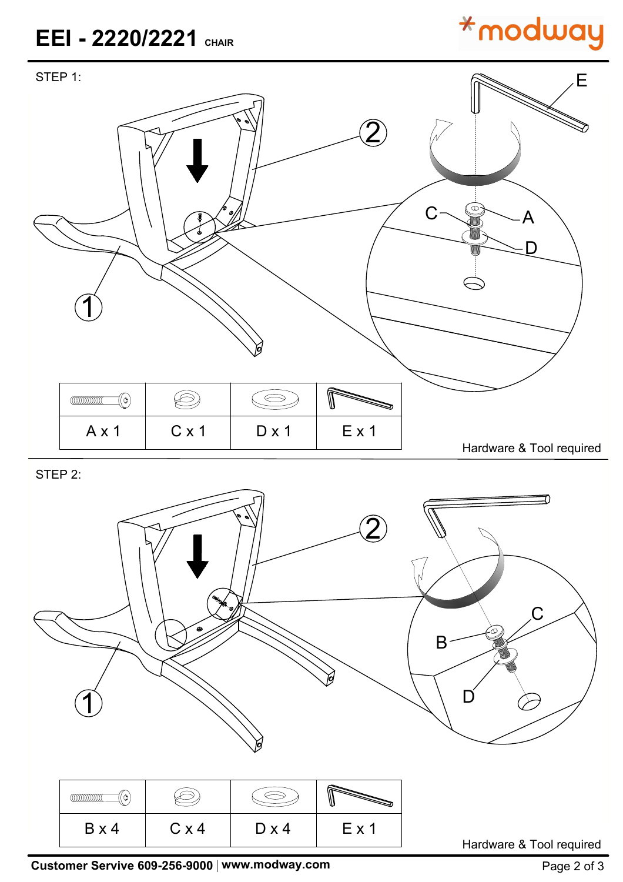### **EEI - 2220/2221 CHAIR**

# **\*modway**



STEP 2:



**Customer Servive 609-256-9000 | www.modway.com <b>Page 2 of 3** Page 2 of 3